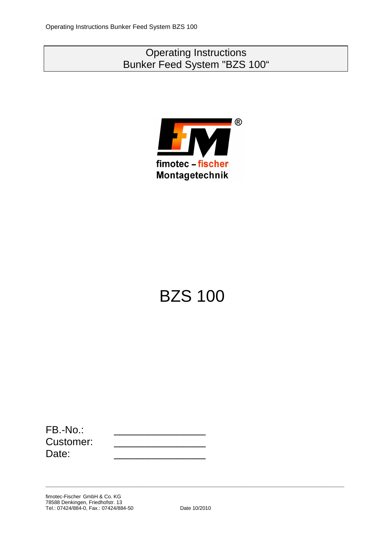# Operating Instructions Bunker Feed System "BZS 100"



# BZS 100

FB.-No.: Customer: Date:

\_\_\_\_\_\_\_\_\_\_\_\_\_\_\_\_\_\_\_\_\_\_\_\_\_\_\_\_\_\_\_\_\_\_\_\_\_\_\_\_\_\_\_\_\_\_\_\_\_\_\_\_\_\_\_\_\_\_\_\_\_\_\_\_\_\_\_\_\_\_\_\_\_\_\_\_\_\_\_\_\_\_\_\_\_\_\_\_\_\_\_\_\_\_\_\_\_\_\_\_\_\_\_\_\_\_\_\_\_\_\_\_\_\_\_\_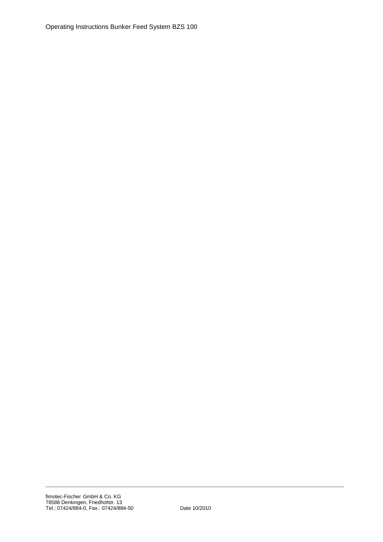\_\_\_\_\_\_\_\_\_\_\_\_\_\_\_\_\_\_\_\_\_\_\_\_\_\_\_\_\_\_\_\_\_\_\_\_\_\_\_\_\_\_\_\_\_\_\_\_\_\_\_\_\_\_\_\_\_\_\_\_\_\_\_\_\_\_\_\_\_\_\_\_\_\_\_\_\_\_\_\_\_\_\_\_\_\_\_\_\_\_\_\_\_\_\_\_\_\_\_\_\_\_\_\_\_\_\_\_\_\_\_\_\_\_\_\_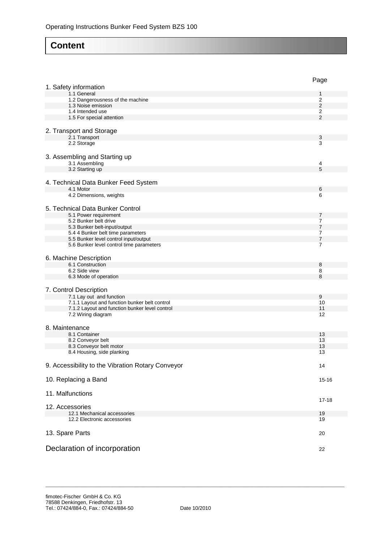### **Content**

| 1. Safety information                                 | Page              |
|-------------------------------------------------------|-------------------|
| 1.1 General                                           | 1                 |
| 1.2 Dangerousness of the machine                      | 2                 |
| 1.3 Noise emission                                    | $\overline{2}$    |
| 1.4 Intended use                                      | $\overline{c}$    |
| 1.5 For special attention                             | 2                 |
| 2. Transport and Storage                              |                   |
| 2.1 Transport<br>2.2 Storage                          | 3                 |
| 3. Assembling and Starting up                         | 3                 |
| 3.1 Assembling                                        | 4                 |
| 3.2 Starting up                                       | 5                 |
| 4. Technical Data Bunker Feed System                  |                   |
| 4.1 Motor                                             | 6                 |
| 4.2 Dimensions, weights                               | 6                 |
| 5. Technical Data Bunker Control                      |                   |
| 5.1 Power requirement                                 | 7                 |
| 5.2 Bunker belt drive<br>5.3 Bunker belt-input/output | 7<br>7            |
| 5.4 4 Bunker belt time parameters                     | 7                 |
| 5.5 Bunker level control input/output                 | $\overline{7}$    |
| 5.6 Bunker level control time parameters              | 7                 |
| 6. Machine Description                                |                   |
| 6.1 Construction                                      | 8                 |
| 6.2 Side view                                         | 8                 |
| 6.3 Mode of operation                                 | 8                 |
| 7. Control Description                                |                   |
| 7.1 Lay out and function                              | 9                 |
| 7.1.1 Layout and function bunker belt control         | 10                |
| 7.1.2 Layout and function bunker level control        | 11                |
| 7.2 Wiring diagram                                    | $12 \overline{ }$ |
| 8. Maintenance                                        |                   |
| 8.1 Container                                         | 13                |
| 8.2 Conveyor belt                                     | 13                |
| 8.3 Conveyor belt motor                               | 13                |
| 8.4 Housing, side planking                            | 13                |
| 9. Accessibility to the Vibration Rotary Conveyor     | 14                |
| 10. Replacing a Band                                  | 15-16             |
| 11. Malfunctions                                      | $17 - 18$         |
| 12. Accessories                                       |                   |
| 12.1 Mechanical accessories                           | 19                |
| 12.2 Electronic accessories                           | 19                |
| 13. Spare Parts                                       | 20                |
| Declaration of incorporation                          | 22                |

\_\_\_\_\_\_\_\_\_\_\_\_\_\_\_\_\_\_\_\_\_\_\_\_\_\_\_\_\_\_\_\_\_\_\_\_\_\_\_\_\_\_\_\_\_\_\_\_\_\_\_\_\_\_\_\_\_\_\_\_\_\_\_\_\_\_\_\_\_\_\_\_\_\_\_\_\_\_\_\_\_\_\_\_\_\_\_\_\_\_\_\_\_\_\_\_\_\_\_\_\_\_\_\_\_\_\_\_\_\_\_\_\_\_\_\_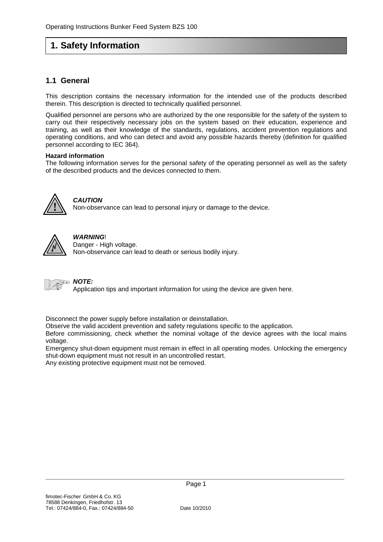# **1. Safety Information**

#### **1.1 General**

This description contains the necessary information for the intended use of the products described therein. This description is directed to technically qualified personnel.

Qualified personnel are persons who are authorized by the one responsible for the safety of the system to carry out their respectively necessary jobs on the system based on their education, experience and training, as well as their knowledge of the standards, regulations, accident prevention regulations and operating conditions, and who can detect and avoid any possible hazards thereby (definition for qualified personnel according to IEC 364).

#### **Hazard information**

The following information serves for the personal safety of the operating personnel as well as the safety of the described products and the devices connected to them.



#### **CAUTION**

Non-observance can lead to personal injury or damage to the device.



#### **WARNING**!

Danger - High voltage.

Non-observance can lead to death or serious bodily injury.



#### **NOTE:**

Application tips and important information for using the device are given here.

Disconnect the power supply before installation or deinstallation.

Observe the valid accident prevention and safety regulations specific to the application.

Before commissioning, check whether the nominal voltage of the device agrees with the local mains voltage.

Emergency shut-down equipment must remain in effect in all operating modes. Unlocking the emergency shut-down equipment must not result in an uncontrolled restart.

Any existing protective equipment must not be removed.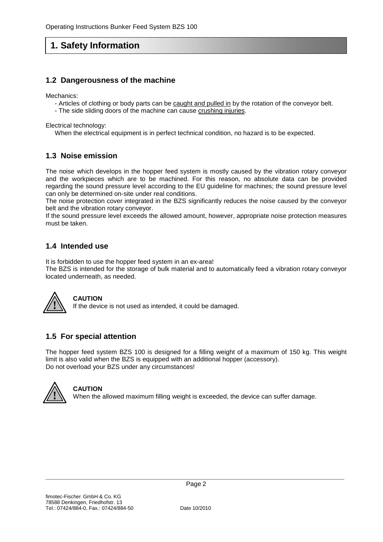# **1. Safety Information**

#### **1.2 Dangerousness of the machine**

Mechanics:

- Articles of clothing or body parts can be caught and pulled in by the rotation of the conveyor belt.
- The side sliding doors of the machine can cause crushing injuries.

Electrical technology:

When the electrical equipment is in perfect technical condition, no hazard is to be expected.

#### **1.3 Noise emission**

The noise which develops in the hopper feed system is mostly caused by the vibration rotary conveyor and the workpieces which are to be machined. For this reason, no absolute data can be provided regarding the sound pressure level according to the EU guideline for machines; the sound pressure level can only be determined on-site under real conditions.

The noise protection cover integrated in the BZS significantly reduces the noise caused by the conveyor belt and the vibration rotary conveyor.

If the sound pressure level exceeds the allowed amount, however, appropriate noise protection measures must be taken.

#### **1.4 Intended use**

It is forbidden to use the hopper feed system in an ex-area!

The BZS is intended for the storage of bulk material and to automatically feed a vibration rotary conveyor located underneath, as needed.



#### **CAUTION**

If the device is not used as intended, it could be damaged.

#### **1.5 For special attention**

The hopper feed system BZS 100 is designed for a filling weight of a maximum of 150 kg. This weight limit is also valid when the BZS is equipped with an additional hopper (accessory). Do not overload your BZS under any circumstances!



#### **CAUTION**

When the allowed maximum filling weight is exceeded, the device can suffer damage.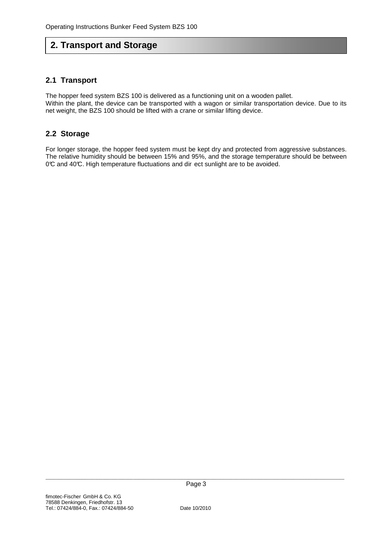# **2. Transport and Storage**

### **2.1 Transport**

The hopper feed system BZS 100 is delivered as a functioning unit on a wooden pallet. Within the plant, the device can be transported with a wagon or similar transportation device. Due to its net weight, the BZS 100 should be lifted with a crane or similar lifting device.

### **2.2 Storage**

For longer storage, the hopper feed system must be kept dry and protected from aggressive substances. The relative humidity should be between 15% and 95%, and the storage temperature should be between 0°C and 40°C. High temperature fluctuations and dir ect sunlight are to be avoided.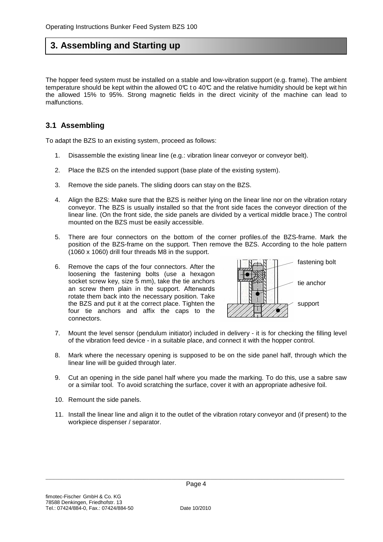# **3. Assembling and Starting up**

The hopper feed system must be installed on a stable and low-vibration support (e.g. frame). The ambient temperature should be kept within the allowed  $0\textdegree C$  to 40 $\textdegree C$  and the relative humidity should be kept wit hin the allowed 15% to 95%. Strong magnetic fields in the direct vicinity of the machine can lead to malfunctions.

### **3.1 Assembling**

To adapt the BZS to an existing system, proceed as follows:

- 1. Disassemble the existing linear line (e.g.: vibration linear conveyor or conveyor belt).
- 2. Place the BZS on the intended support (base plate of the existing system).
- 3. Remove the side panels. The sliding doors can stay on the BZS.
- 4. Align the BZS: Make sure that the BZS is neither lying on the linear line nor on the vibration rotary conveyor. The BZS is usually installed so that the front side faces the conveyor direction of the linear line. (On the front side, the side panels are divided by a vertical middle brace.) The control mounted on the BZS must be easily accessible.
- 5. There are four connectors on the bottom of the corner profiles.of the BZS-frame. Mark the position of the BZS-frame on the support. Then remove the BZS. According to the hole pattern (1060 x 1060) drill four threads M8 in the support.
- 6. Remove the caps of the four connectors. After the loosening the fastening bolts (use a hexagon socket screw key, size 5 mm), take the tie anchors an screw them plain in the support. Afterwards rotate them back into the necessary position. Take the BZS and put it at the correct place. Tighten the four tie anchors and affix the caps to the connectors.



- 7. Mount the level sensor (pendulum initiator) included in delivery it is for checking the filling level of the vibration feed device - in a suitable place, and connect it with the hopper control.
- 8. Mark where the necessary opening is supposed to be on the side panel half, through which the linear line will be guided through later.
- 9. Cut an opening in the side panel half where you made the marking. To do this, use a sabre saw or a similar tool. To avoid scratching the surface, cover it with an appropriate adhesive foil.
- 10. Remount the side panels.
- 11. Install the linear line and align it to the outlet of the vibration rotary conveyor and (if present) to the workpiece dispenser / separator.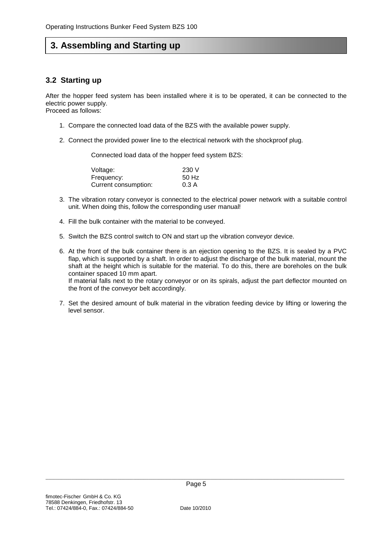# **3. Assembling and Starting up**

#### **3.2 Starting up**

After the hopper feed system has been installed where it is to be operated, it can be connected to the electric power supply. Proceed as follows:

- 1. Compare the connected load data of the BZS with the available power supply.
- 2. Connect the provided power line to the electrical network with the shockproof plug.

Connected load data of the hopper feed system BZS:

| Voltage:             | 230 V |
|----------------------|-------|
| Frequency:           | 50 Hz |
| Current consumption: | 0.3 A |

- 3. The vibration rotary conveyor is connected to the electrical power network with a suitable control unit. When doing this, follow the corresponding user manual!
- 4. Fill the bulk container with the material to be conveyed.
- 5. Switch the BZS control switch to ON and start up the vibration conveyor device.
- 6. At the front of the bulk container there is an ejection opening to the BZS. It is sealed by a PVC flap, which is supported by a shaft. In order to adjust the discharge of the bulk material, mount the shaft at the height which is suitable for the material. To do this, there are boreholes on the bulk container spaced 10 mm apart.

If material falls next to the rotary conveyor or on its spirals, adjust the part deflector mounted on the front of the conveyor belt accordingly.

7. Set the desired amount of bulk material in the vibration feeding device by lifting or lowering the level sensor.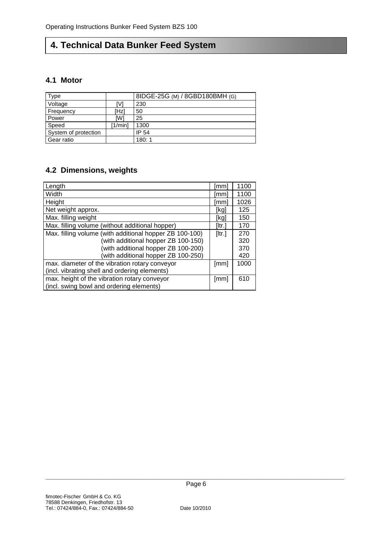# **4. Technical Data Bunker Feed System**

### **4.1 Motor**

| Type                 |              | 8IDGE-25G (M) / 8GBD180BMH (G) |
|----------------------|--------------|--------------------------------|
| Voltage              | ΓV           | 230                            |
| Frequency            | 'Hz)         | 50                             |
| Power                | [W]          | 25                             |
| Speed                | $1/m$ in $1$ | 1300                           |
| System of protection |              | IP 54                          |
| Gear ratio           |              | 180:1                          |

# **4.2 Dimensions, weights**

| Length                                                  | mml          | 1100 |
|---------------------------------------------------------|--------------|------|
| Width                                                   | [mm]         | 1100 |
| Height                                                  | [mm]         | 1026 |
| Net weight approx.                                      | [kg]         | 125  |
| Max. filling weight                                     | [kg]         | 150  |
| Max. filling volume (without additional hopper)         | [Itr.]       | 170  |
| Max. filling volume (with additional hopper ZB 100-100) | $[$ ltr. $]$ | 270  |
| (with additional hopper ZB 100-150)                     |              | 320  |
| (with additional hopper ZB 100-200)                     |              | 370  |
| (with additional hopper ZB 100-250)                     |              | 420  |
| max. diameter of the vibration rotary conveyor          | [mm]         | 1000 |
| (incl. vibrating shell and ordering elements)           |              |      |
| max. height of the vibration rotary conveyor            | [mm]         | 610  |
| (incl. swing bowl and ordering elements)                |              |      |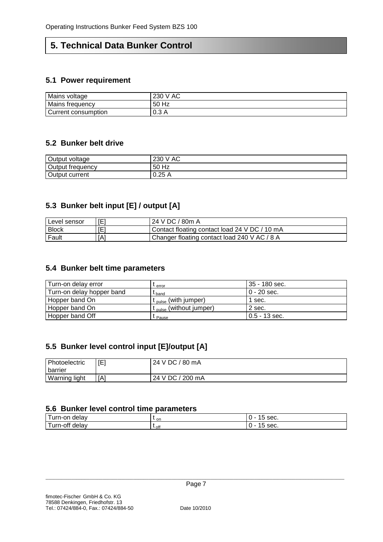# **5. Technical Data Bunker Control**

### **5.1 Power requirement**

| Mains voltage       | V AC<br>230    |
|---------------------|----------------|
| Mains frequency     | 50 Hz          |
| Current consumption | ሰ ዓ ለ<br>u.s A |

#### **5.2 Bunker belt drive**

| Output voltage   | V AC<br>230 |
|------------------|-------------|
| Output frequency | 50 Hz       |
| Output current   | 0.25A       |

### **5.3 Bunker belt input [E] / output [A]**

| Level sensor | [E] | l 24 V DC / 80m A                              |
|--------------|-----|------------------------------------------------|
| <b>Block</b> | ΈI  | Contact floating contact load 24 V DC / 10 mA  |
| Fault        | [A] | I Changer floating contact load 240 V AC / 8 A |

### **5.4 Bunker belt time parameters**

| Turn-on delay error       | error                               | 35 - 180 sec.   |
|---------------------------|-------------------------------------|-----------------|
| Turn-on delay hopper band | $\mathfrak l$ band                  | $0 - 20$ sec.   |
| Hopper band On            | $t_{\text{pulse}}$ (with jumper)    | 1 sec.          |
| Hopper band On            | $t_{\text{pulse}}$ (without jumper) | 2 sec.          |
| Hopper band Off           | <sup>L</sup> Pause                  | $0.5 - 13$ sec. |

### **5.5 Bunker level control input [E]/output [A]**

| Photoelectric<br>barrier | [E] | 24 V DC / 80 mA  |
|--------------------------|-----|------------------|
| Warning light            | [A] | 24 V DC / 200 mA |

#### **5.6 Bunker level control time parameters**

| urn-on<br>delav   | on                          | <u>__</u><br>JGU. |
|-------------------|-----------------------------|-------------------|
| ⊺urn-off<br>delav | $\mathsf{L}_{\mathsf{off}}$ | <u>__</u><br>こ じし |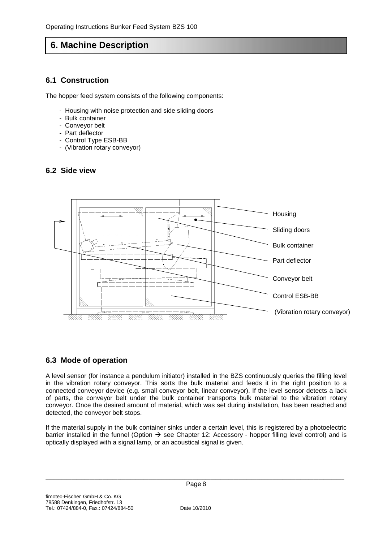# **6. Machine Description**

### **6.1 Construction**

The hopper feed system consists of the following components:

- Housing with noise protection and side sliding doors
- Bulk container
- Conveyor belt
- Part deflector
- Control Type ESB-BB
- (Vibration rotary conveyor)

### **6.2 Side view**



### **6.3 Mode of operation**

A level sensor (for instance a pendulum initiator) installed in the BZS continuously queries the filling level in the vibration rotary conveyor. This sorts the bulk material and feeds it in the right position to a connected conveyor device (e.g. small conveyor belt, linear conveyor). If the level sensor detects a lack of parts, the conveyor belt under the bulk container transports bulk material to the vibration rotary conveyor. Once the desired amount of material, which was set during installation, has been reached and detected, the conveyor belt stops.

If the material supply in the bulk container sinks under a certain level, this is registered by a photoelectric barrier installed in the funnel (Option  $\rightarrow$  see Chapter 12: Accessory - hopper filling level control) and is optically displayed with a signal lamp, or an acoustical signal is given.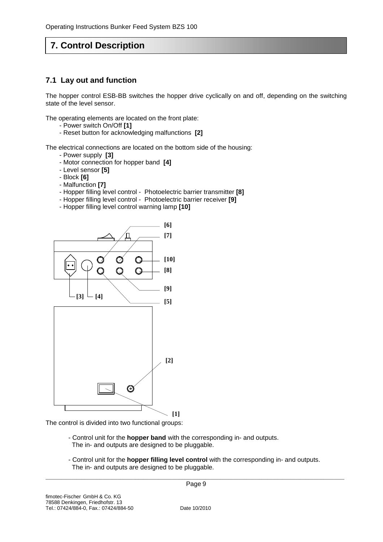#### **7.1 Lay out and function**

The hopper control ESB-BB switches the hopper drive cyclically on and off, depending on the switching state of the level sensor.

The operating elements are located on the front plate:

- Power switch On/Off **[1]**
- Reset button for acknowledging malfunctions **[2]**

The electrical connections are located on the bottom side of the housing:

- Power supply **[3]**
- Motor connection for hopper band **[4]**
- Level sensor **[5]**
- Block **[6]**
- Malfunction **[7]**
- Hopper filling level control Photoelectric barrier transmitter **[8]**
- Hopper filling level control Photoelectric barrier receiver **[9]**
- Hopper filling level control warning lamp **[10]**



The control is divided into two functional groups:

- Control unit for the **hopper band** with the corresponding in- and outputs. The in- and outputs are designed to be pluggable.
- Control unit for the **hopper filling level control** with the corresponding in- and outputs. The in- and outputs are designed to be pluggable.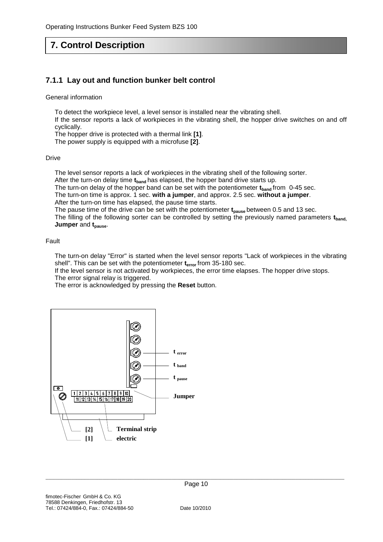### **7.1.1 Lay out and function bunker belt control**

#### General information

To detect the workpiece level, a level sensor is installed near the vibrating shell.

If the sensor reports a lack of workpieces in the vibrating shell, the hopper drive switches on and off cyclically.

The hopper drive is protected with a thermal link **[1]**.

The power supply is equipped with a microfuse **[2]**.

#### Drive

The level sensor reports a lack of workpieces in the vibrating shell of the following sorter.

After the turn-on delay time **tband** has elapsed, the hopper band drive starts up.

The turn-on delay of the hopper band can be set with the potentiometer t<sub>hand</sub> from 0-45 sec.

The turn-on time is approx. 1 sec. **with a jumper**, and approx. 2.5 sec. **without a jumper**. After the turn-on time has elapsed, the pause time starts.

The pause time of the drive can be set with the potentiometer **tpause** between 0.5 and 13 sec.

The filling of the following sorter can be controlled by setting the previously named parameters **tband, Jumper** and **tpause**.

#### Fault

The turn-on delay "Error" is started when the level sensor reports "Lack of workpieces in the vibrating shell". This can be set with the potentiometer **terror** from 35-180 sec.

If the level sensor is not activated by workpieces, the error time elapses. The hopper drive stops. The error signal relay is triggered.

The error is acknowledged by pressing the **Reset** button.



fimotec-Fischer GmbH & Co. KG 78588 Denkingen, Friedhofstr. 13 Tel.: 07424/884-0, Fax.: 07424/884-50 Date 10/2010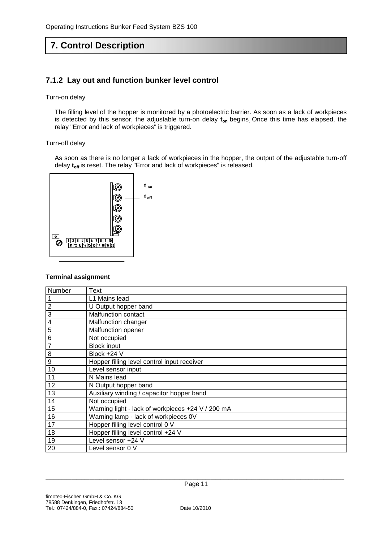### **7.1.2 Lay out and function bunker level control**

#### Turn-on delay

The filling level of the hopper is monitored by a photoelectric barrier. As soon as a lack of workpieces is detected by this sensor, the adjustable turn-on delay **ton** begins**.** Once this time has elapsed, the relay "Error and lack of workpieces" is triggered.

#### Turn-off delay

As soon as there is no longer a lack of workpieces in the hopper, the output of the adjustable turn-off delay **t<sub>off</sub>** is reset. The relay "Error and lack of workpieces" is released.



#### **Terminal assignment**

| Number                  | Text                                              |
|-------------------------|---------------------------------------------------|
|                         | L1 Mains lead                                     |
| $\overline{2}$          | U Output hopper band                              |
| 3                       | Malfunction contact                               |
| $\overline{\mathbf{4}}$ | Malfunction changer                               |
| 5                       | Malfunction opener                                |
| $6\phantom{1}6$         | Not occupied                                      |
| $\overline{7}$          | <b>Block input</b>                                |
| 8                       | Block +24 V                                       |
| 9                       | Hopper filling level control input receiver       |
| 10                      | Level sensor input                                |
| 11                      | N Mains lead                                      |
| 12                      | N Output hopper band                              |
| 13                      | Auxiliary winding / capacitor hopper band         |
| 14                      | Not occupied                                      |
| 15                      | Warning light - lack of workpieces +24 V / 200 mA |
| 16                      | Warning lamp - lack of workpieces 0V              |
| 17                      | Hopper filling level control 0 V                  |
| 18                      | Hopper filling level control +24 V                |
| 19                      | Level sensor +24 V                                |
| 20                      | Level sensor 0 V                                  |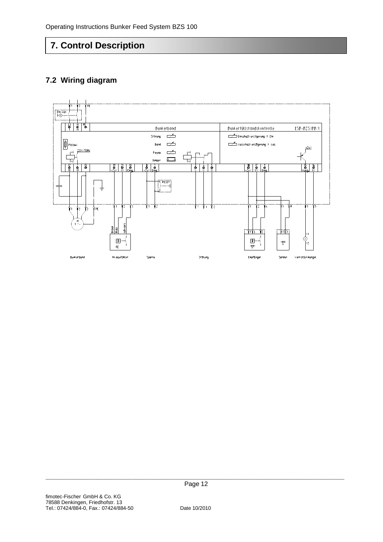# **7.2 Wiring diagram**

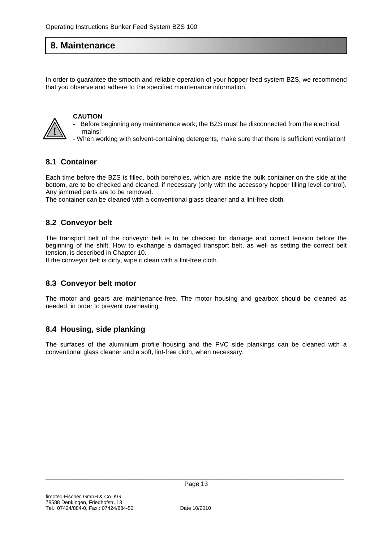### **8. Maintenance**

In order to guarantee the smooth and reliable operation of your hopper feed system BZS, we recommend that you observe and adhere to the specified maintenance information.

#### **CAUTION**

- Before beginning any maintenance work, the BZS must be disconnected from the electrical mains!
- When working with solvent-containing detergents, make sure that there is sufficient ventilation!

#### **8.1 Container**

**!**

Each time before the BZS is filled, both boreholes, which are inside the bulk container on the side at the bottom, are to be checked and cleaned, if necessary (only with the accessory hopper filling level control). Any jammed parts are to be removed.

The container can be cleaned with a conventional glass cleaner and a lint-free cloth.

#### **8.2 Conveyor belt**

The transport belt of the conveyor belt is to be checked for damage and correct tension before the beginning of the shift. How to exchange a damaged transport belt, as well as setting the correct belt tension, is described in Chapter 10.

If the conveyor belt is dirty, wipe it clean with a lint-free cloth.

#### **8.3 Conveyor belt motor**

The motor and gears are maintenance-free. The motor housing and gearbox should be cleaned as needed, in order to prevent overheating.

#### **8.4 Housing, side planking**

The surfaces of the aluminium profile housing and the PVC side plankings can be cleaned with a conventional glass cleaner and a soft, lint-free cloth, when necessary.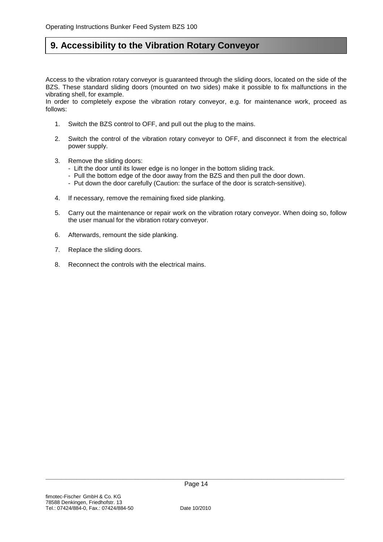# **9. Accessibility to the Vibration Rotary Conveyor**

Access to the vibration rotary conveyor is guaranteed through the sliding doors, located on the side of the BZS. These standard sliding doors (mounted on two sides) make it possible to fix malfunctions in the vibrating shell, for example.

In order to completely expose the vibration rotary conveyor, e.g. for maintenance work, proceed as follows:

- 1. Switch the BZS control to OFF, and pull out the plug to the mains.
- 2. Switch the control of the vibration rotary conveyor to OFF, and disconnect it from the electrical power supply.
- 3. Remove the sliding doors:
	- Lift the door until its lower edge is no longer in the bottom sliding track.
	- Pull the bottom edge of the door away from the BZS and then pull the door down.
	- Put down the door carefully (Caution: the surface of the door is scratch-sensitive).
- 4. If necessary, remove the remaining fixed side planking.
- 5. Carry out the maintenance or repair work on the vibration rotary conveyor. When doing so, follow the user manual for the vibration rotary conveyor.
- 6. Afterwards, remount the side planking.
- 7. Replace the sliding doors.
- 8. Reconnect the controls with the electrical mains.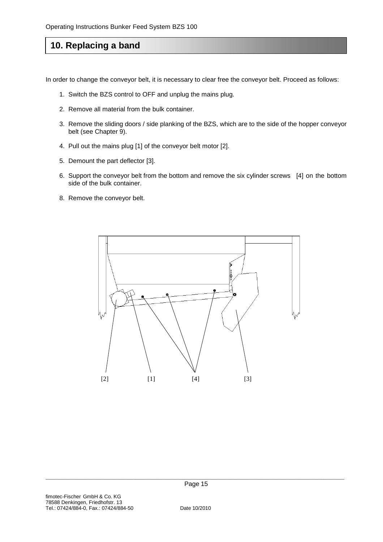### **10. Replacing a band**

In order to change the conveyor belt, it is necessary to clear free the conveyor belt. Proceed as follows:

- 1. Switch the BZS control to OFF and unplug the mains plug.
- 2. Remove all material from the bulk container.
- 3. Remove the sliding doors / side planking of the BZS, which are to the side of the hopper conveyor belt (see Chapter 9).
- 4. Pull out the mains plug [1] of the conveyor belt motor [2].
- 5. Demount the part deflector [3].
- 6. Support the conveyor belt from the bottom and remove the six cylinder screws [4] on the bottom side of the bulk container.
- 8. Remove the conveyor belt.

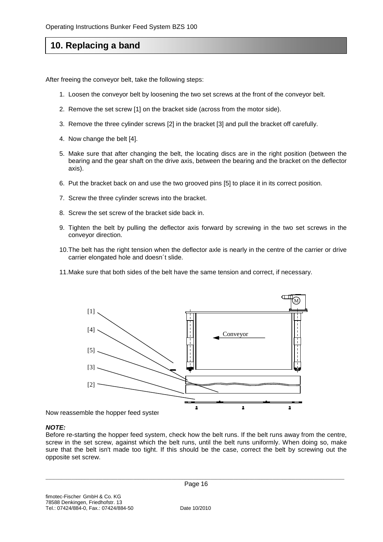### **10. Replacing a band**

After freeing the conveyor belt, take the following steps:

- 1. Loosen the conveyor belt by loosening the two set screws at the front of the conveyor belt.
- 2. Remove the set screw [1] on the bracket side (across from the motor side).
- 3. Remove the three cylinder screws [2] in the bracket [3] and pull the bracket off carefully.
- 4. Now change the belt [4].
- 5. Make sure that after changing the belt, the locating discs are in the right position (between the bearing and the gear shaft on the drive axis, between the bearing and the bracket on the deflector axis).
- 6. Put the bracket back on and use the two grooved pins [5] to place it in its correct position.
- 7. Screw the three cylinder screws into the bracket.
- 8. Screw the set screw of the bracket side back in.
- 9. Tighten the belt by pulling the deflector axis forward by screwing in the two set screws in the conveyor direction.
- 10. The belt has the right tension when the deflector axle is nearly in the centre of the carrier or drive carrier elongated hole and doesn´t slide.
- 11. Make sure that both sides of the belt have the same tension and correct, if necessary.



#### **NOTE:**

Before re-starting the hopper feed system, check how the belt runs. If the belt runs away from the centre, screw in the set screw, against which the belt runs, until the belt runs uniformly. When doing so, make sure that the belt isn't made too tight. If this should be the case, correct the belt by screwing out the opposite set screw.

fimotec-Fischer GmbH & Co. KG 78588 Denkingen, Friedhofstr. 13 Tel.: 07424/884-0, Fax.: 07424/884-50 Date 10/2010

\_\_\_\_\_\_\_\_\_\_\_\_\_\_\_\_\_\_\_\_\_\_\_\_\_\_\_\_\_\_\_\_\_\_\_\_\_\_\_\_\_\_\_\_\_\_\_\_\_\_\_\_\_\_\_\_\_\_\_\_\_\_\_\_\_\_\_\_\_\_\_\_\_\_\_\_\_\_\_\_\_\_\_\_\_\_\_\_\_\_\_\_\_\_\_\_\_\_\_\_\_\_\_\_\_\_\_\_\_\_\_\_\_\_\_\_ Page 16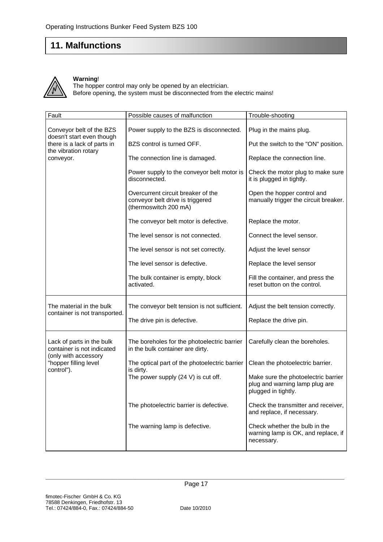# **11. Malfunctions**



#### **Warning**!

The hopper control may only be opened by an electrician. Before opening, the system must be disconnected from the electric mains!

| Fault                                                                           | Possible causes of malfunction                                                                  | Trouble-shooting                                                                             |
|---------------------------------------------------------------------------------|-------------------------------------------------------------------------------------------------|----------------------------------------------------------------------------------------------|
| Conveyor belt of the BZS<br>doesn't start even though                           | Power supply to the BZS is disconnected.                                                        | Plug in the mains plug.                                                                      |
| there is a lack of parts in<br>the vibration rotary                             | BZS control is turned OFF.                                                                      | Put the switch to the "ON" position.                                                         |
| conveyor.                                                                       | The connection line is damaged.                                                                 | Replace the connection line.                                                                 |
|                                                                                 | Power supply to the conveyor belt motor is<br>disconnected.                                     | Check the motor plug to make sure<br>it is plugged in tightly.                               |
|                                                                                 | Overcurrent circuit breaker of the<br>conveyor belt drive is triggered<br>(thermoswitch 200 mA) | Open the hopper control and<br>manually trigger the circuit breaker.                         |
|                                                                                 | The conveyor belt motor is defective.                                                           | Replace the motor.                                                                           |
|                                                                                 | The level sensor is not connected.                                                              | Connect the level sensor.                                                                    |
|                                                                                 | The level sensor is not set correctly.                                                          | Adjust the level sensor                                                                      |
|                                                                                 | The level sensor is defective.                                                                  | Replace the level sensor                                                                     |
|                                                                                 | The bulk container is empty, block<br>activated.                                                | Fill the container, and press the<br>reset button on the control.                            |
| The material in the bulk<br>container is not transported.                       | The conveyor belt tension is not sufficient.                                                    | Adjust the belt tension correctly.                                                           |
|                                                                                 | The drive pin is defective.                                                                     | Replace the drive pin.                                                                       |
| Lack of parts in the bulk<br>container is not indicated<br>(only with accessory | The boreholes for the photoelectric barrier<br>in the bulk container are dirty.                 | Carefully clean the boreholes.                                                               |
| "hopper filling level<br>control").                                             | The optical part of the photoelectric barrier<br>is dirty.                                      | Clean the photoelectric barrier.                                                             |
|                                                                                 | The power supply (24 V) is cut off.                                                             | Make sure the photoelectric barrier<br>plug and warning lamp plug are<br>plugged in tightly. |
|                                                                                 | The photoelectric barrier is defective.                                                         | Check the transmitter and receiver,<br>and replace, if necessary.                            |
|                                                                                 | The warning lamp is defective.                                                                  | Check whether the bulb in the<br>warning lamp is OK, and replace, if<br>necessary.           |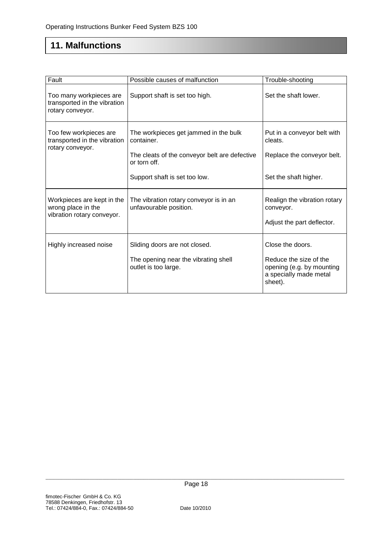# **11. Malfunctions**

| Fault                                                                          | Possible causes of malfunction                                                                                                                        | Trouble-shooting                                                                                             |
|--------------------------------------------------------------------------------|-------------------------------------------------------------------------------------------------------------------------------------------------------|--------------------------------------------------------------------------------------------------------------|
| Too many workpieces are<br>transported in the vibration<br>rotary conveyor.    | Support shaft is set too high.                                                                                                                        | Set the shaft lower.                                                                                         |
| Too few workpieces are<br>transported in the vibration<br>rotary conveyor.     | The workpieces get jammed in the bulk<br>container.<br>The cleats of the conveyor belt are defective<br>or torn off.<br>Support shaft is set too low. | Put in a conveyor belt with<br>cleats.<br>Replace the conveyor belt.<br>Set the shaft higher.                |
| Workpieces are kept in the<br>wrong place in the<br>vibration rotary conveyor. | The vibration rotary conveyor is in an<br>unfavourable position.                                                                                      | Realign the vibration rotary<br>conveyor.<br>Adjust the part deflector.                                      |
| Highly increased noise                                                         | Sliding doors are not closed.<br>The opening near the vibrating shell<br>outlet is too large.                                                         | Close the doors.<br>Reduce the size of the<br>opening (e.g. by mounting<br>a specially made metal<br>sheet). |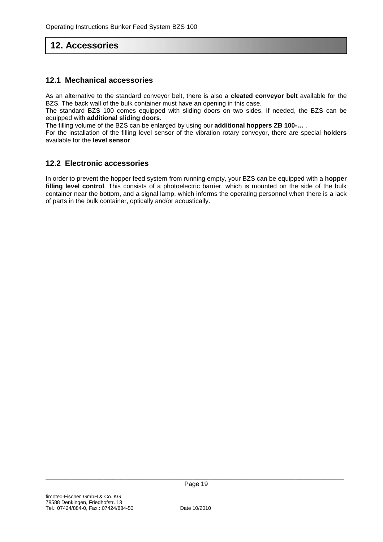### **12. Accessories**

#### **12.1 Mechanical accessories**

As an alternative to the standard conveyor belt, there is also a **cleated conveyor belt** available for the BZS. The back wall of the bulk container must have an opening in this case.

The standard BZS 100 comes equipped with sliding doors on two sides. If needed, the BZS can be equipped with **additional sliding doors**.

The filling volume of the BZS can be enlarged by using our **additional hoppers ZB 100-…** .

For the installation of the filling level sensor of the vibration rotary conveyor, there are special **holders** available for the **level sensor**.

#### **12.2 Electronic accessories**

In order to prevent the hopper feed system from running empty, your BZS can be equipped with a **hopper filling level control**. This consists of a photoelectric barrier, which is mounted on the side of the bulk container near the bottom, and a signal lamp, which informs the operating personnel when there is a lack of parts in the bulk container, optically and/or acoustically.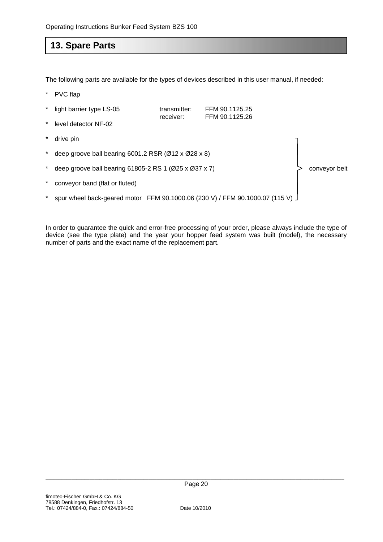# **13. Spare Parts**

The following parts are available for the types of devices described in this user manual, if needed:

\* PVC flap

| $\ast$                                                                                  | light barrier type LS-05                                                       | transmitter:<br>receiver: | FFM 90.1125.25<br>FFM 90.1125.26 |  |  |
|-----------------------------------------------------------------------------------------|--------------------------------------------------------------------------------|---------------------------|----------------------------------|--|--|
| $\ast$                                                                                  | level detector NF-02                                                           |                           |                                  |  |  |
| *                                                                                       | drive pin                                                                      |                           |                                  |  |  |
| $\ast$                                                                                  | deep groove ball bearing 6001.2 RSR ( $\emptyset$ 12 x $\emptyset$ 28 x 8)     |                           |                                  |  |  |
| $\star$<br>deep groove ball bearing 61805-2 RS 1 ( $\emptyset$ 25 x $\emptyset$ 37 x 7) |                                                                                |                           | conveyor belt                    |  |  |
| $\ast$                                                                                  | conveyor band (flat or fluted)                                                 |                           |                                  |  |  |
| *                                                                                       | spur wheel back-geared motor FFM 90.1000.06 (230 V) / FFM 90.1000.07 (115 V) J |                           |                                  |  |  |
|                                                                                         |                                                                                |                           |                                  |  |  |

In order to guarantee the quick and error-free processing of your order, please always include the type of device (see the type plate) and the year your hopper feed system was built (model), the necessary number of parts and the exact name of the replacement part.